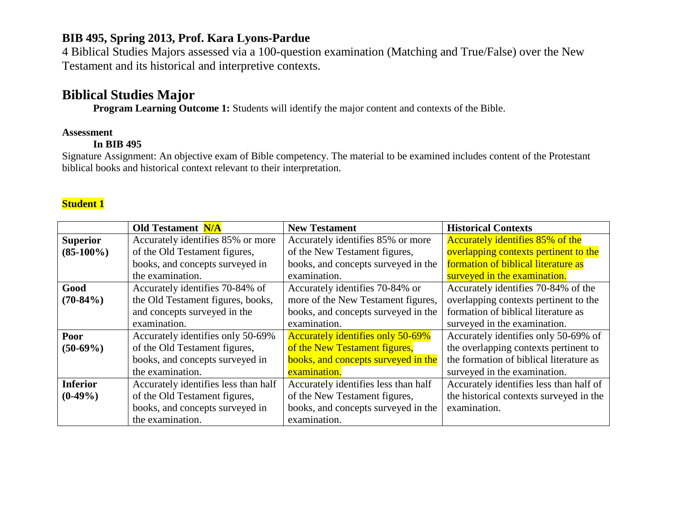4 Biblical Studies Majors assessed via a 100-question examination (Matching and True/False) over the New Testament and its historical and interpretive contexts.

## **Biblical Studies Major**

**Program Learning Outcome 1:** Students will identify the major content and contexts of the Bible.

#### **Assessment**

#### **In BIB 495**

Signature Assignment: An objective exam of Bible competency. The material to be examined includes content of the Protestant biblical books and historical context relevant to their interpretation.

### **Student 1**

|                 | <b>Old Testament N/A</b>             | <b>New Testament</b>                     | <b>Historical Contexts</b>              |
|-----------------|--------------------------------------|------------------------------------------|-----------------------------------------|
| <b>Superior</b> | Accurately identifies 85% or more    | Accurately identifies 85% or more        | <b>Accurately identifies 85% of the</b> |
| $(85-100\%)$    | of the Old Testament figures,        | of the New Testament figures,            | overlapping contexts pertinent to the   |
|                 | books, and concepts surveyed in      | books, and concepts surveyed in the      | formation of biblical literature as     |
|                 | the examination.                     | examination.                             | surveyed in the examination.            |
| Good            | Accurately identifies 70-84% of      | Accurately identifies 70-84% or          | Accurately identifies 70-84% of the     |
| $(70-84\%)$     | the Old Testament figures, books,    | more of the New Testament figures,       | overlapping contexts pertinent to the   |
|                 | and concepts surveyed in the         | books, and concepts surveyed in the      | formation of biblical literature as     |
|                 | examination.                         | examination.                             | surveyed in the examination.            |
| Poor            | Accurately identifies only 50-69%    | <b>Accurately identifies only 50-69%</b> | Accurately identifies only 50-69% of    |
| $(50-69%)$      | of the Old Testament figures,        | of the New Testament figures,            | the overlapping contexts pertinent to   |
|                 | books, and concepts surveyed in      | books, and concepts surveyed in the      | the formation of biblical literature as |
|                 | the examination.                     | examination.                             | surveyed in the examination.            |
| <b>Inferior</b> | Accurately identifies less than half | Accurately identifies less than half     | Accurately identifies less than half of |
| $(0-49\%)$      | of the Old Testament figures,        | of the New Testament figures,            | the historical contexts surveyed in the |
|                 | books, and concepts surveyed in      | books, and concepts surveyed in the      | examination.                            |
|                 | the examination.                     | examination.                             |                                         |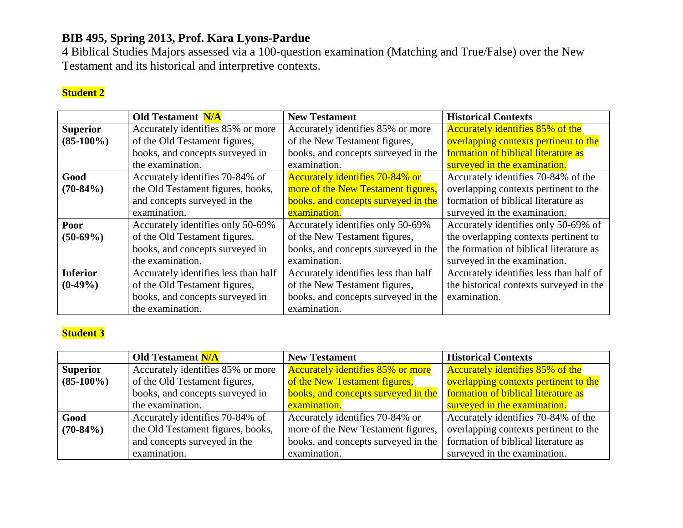4 Biblical Studies Majors assessed via a 100-question examination (Matching and True/False) over the New Testament and its historical and interpretive contexts.

## **Student 2**

|                 | <b>Old Testament N/A</b>             | <b>New Testament</b>                   | <b>Historical Contexts</b>              |
|-----------------|--------------------------------------|----------------------------------------|-----------------------------------------|
| <b>Superior</b> | Accurately identifies 85% or more    | Accurately identifies 85% or more      | <b>Accurately identifies 85% of the</b> |
| $(85-100\%)$    | of the Old Testament figures,        | of the New Testament figures,          | overlapping contexts pertinent to the   |
|                 | books, and concepts surveyed in      | books, and concepts surveyed in the    | formation of biblical literature as     |
|                 | the examination.                     | examination.                           | surveyed in the examination.            |
| Good            | Accurately identifies 70-84% of      | <b>Accurately identifies 70-84% or</b> | Accurately identifies 70-84% of the     |
| $(70-84\%)$     | the Old Testament figures, books,    | more of the New Testament figures,     | overlapping contexts pertinent to the   |
|                 | and concepts surveyed in the         | books, and concepts surveyed in the    | formation of biblical literature as     |
|                 | examination.                         | examination.                           | surveyed in the examination.            |
| Poor            | Accurately identifies only 50-69%    | Accurately identifies only 50-69%      | Accurately identifies only 50-69% of    |
| $(50-69%)$      | of the Old Testament figures,        | of the New Testament figures,          | the overlapping contexts pertinent to   |
|                 | books, and concepts surveyed in      | books, and concepts surveyed in the    | the formation of biblical literature as |
|                 | the examination.                     | examination.                           | surveyed in the examination.            |
| <b>Inferior</b> | Accurately identifies less than half | Accurately identifies less than half   | Accurately identifies less than half of |
| $(0-49\%)$      | of the Old Testament figures,        | of the New Testament figures,          | the historical contexts surveyed in the |
|                 | books, and concepts surveyed in      | books, and concepts surveyed in the    | examination.                            |
|                 | the examination.                     | examination.                           |                                         |

## **Student 3**

|                 | <b>Old Testament N/A</b>          | <b>New Testament</b>                     | <b>Historical Contexts</b>            |
|-----------------|-----------------------------------|------------------------------------------|---------------------------------------|
| <b>Superior</b> | Accurately identifies 85% or more | <b>Accurately identifies 85% or more</b> | Accurately identifies 85% of the      |
| $(85-100\%)$    | of the Old Testament figures,     | of the New Testament figures,            | overlapping contexts pertinent to the |
|                 | books, and concepts surveyed in   | books, and concepts surveyed in the      | formation of biblical literature as   |
|                 | the examination.                  | examination.                             | surveyed in the examination.          |
| Good            | Accurately identifies 70-84% of   | Accurately identifies 70-84% or          | Accurately identifies 70-84% of the   |
| $(70-84\%)$     | the Old Testament figures, books, | more of the New Testament figures,       | overlapping contexts pertinent to the |
|                 | and concepts surveyed in the      | books, and concepts surveyed in the      | formation of biblical literature as   |
|                 | examination.                      | examination.                             | surveyed in the examination.          |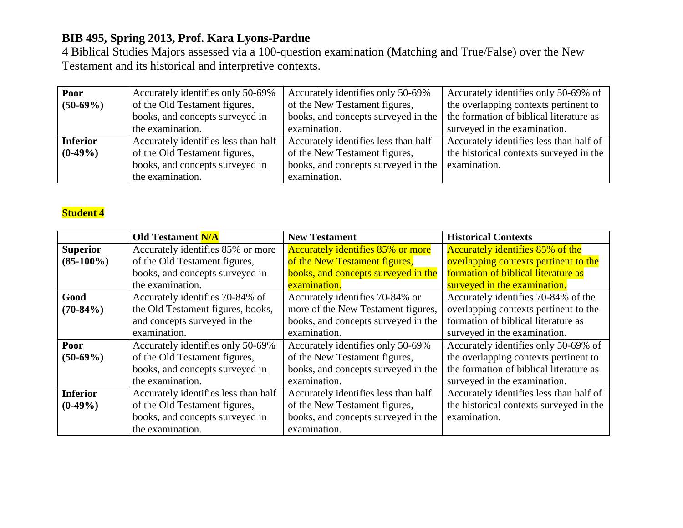4 Biblical Studies Majors assessed via a 100-question examination (Matching and True/False) over the New Testament and its historical and interpretive contexts.

| Poor            | Accurately identifies only 50-69%    | Accurately identifies only 50-69%    | Accurately identifies only 50-69% of    |
|-----------------|--------------------------------------|--------------------------------------|-----------------------------------------|
| $(50-69%)$      | of the Old Testament figures,        | of the New Testament figures,        | the overlapping contexts pertinent to   |
|                 | books, and concepts surveyed in      | books, and concepts surveyed in the  | the formation of biblical literature as |
|                 | the examination.                     | examination.                         | surveyed in the examination.            |
| <b>Inferior</b> | Accurately identifies less than half | Accurately identifies less than half | Accurately identifies less than half of |
| $(0-49\%)$      | of the Old Testament figures,        | of the New Testament figures,        | the historical contexts surveyed in the |
|                 | books, and concepts surveyed in      | books, and concepts surveyed in the  | examination.                            |
|                 | the examination.                     | examination.                         |                                         |

## **Student 4**

|                 | <b>Old Testament N/A</b>             | <b>New Testament</b>                     | <b>Historical Contexts</b>              |
|-----------------|--------------------------------------|------------------------------------------|-----------------------------------------|
| <b>Superior</b> | Accurately identifies 85% or more    | <b>Accurately identifies 85% or more</b> | <b>Accurately identifies 85% of the</b> |
| $(85-100\%)$    | of the Old Testament figures,        | of the New Testament figures,            | overlapping contexts pertinent to the   |
|                 | books, and concepts surveyed in      | books, and concepts surveyed in the      | formation of biblical literature as     |
|                 | the examination.                     | examination.                             | surveyed in the examination.            |
| Good            | Accurately identifies 70-84% of      | Accurately identifies 70-84% or          | Accurately identifies 70-84% of the     |
| $(70-84\%)$     | the Old Testament figures, books,    | more of the New Testament figures,       | overlapping contexts pertinent to the   |
|                 | and concepts surveyed in the         | books, and concepts surveyed in the      | formation of biblical literature as     |
|                 | examination.                         | examination.                             | surveyed in the examination.            |
| Poor            | Accurately identifies only 50-69%    | Accurately identifies only 50-69%        | Accurately identifies only 50-69% of    |
| $(50-69\%)$     | of the Old Testament figures,        | of the New Testament figures,            | the overlapping contexts pertinent to   |
|                 | books, and concepts surveyed in      | books, and concepts surveyed in the      | the formation of biblical literature as |
|                 | the examination.                     | examination.                             | surveyed in the examination.            |
| <b>Inferior</b> | Accurately identifies less than half | Accurately identifies less than half     | Accurately identifies less than half of |
| $(0-49\%)$      | of the Old Testament figures,        | of the New Testament figures,            | the historical contexts surveyed in the |
|                 | books, and concepts surveyed in      | books, and concepts surveyed in the      | examination.                            |
|                 | the examination.                     | examination.                             |                                         |